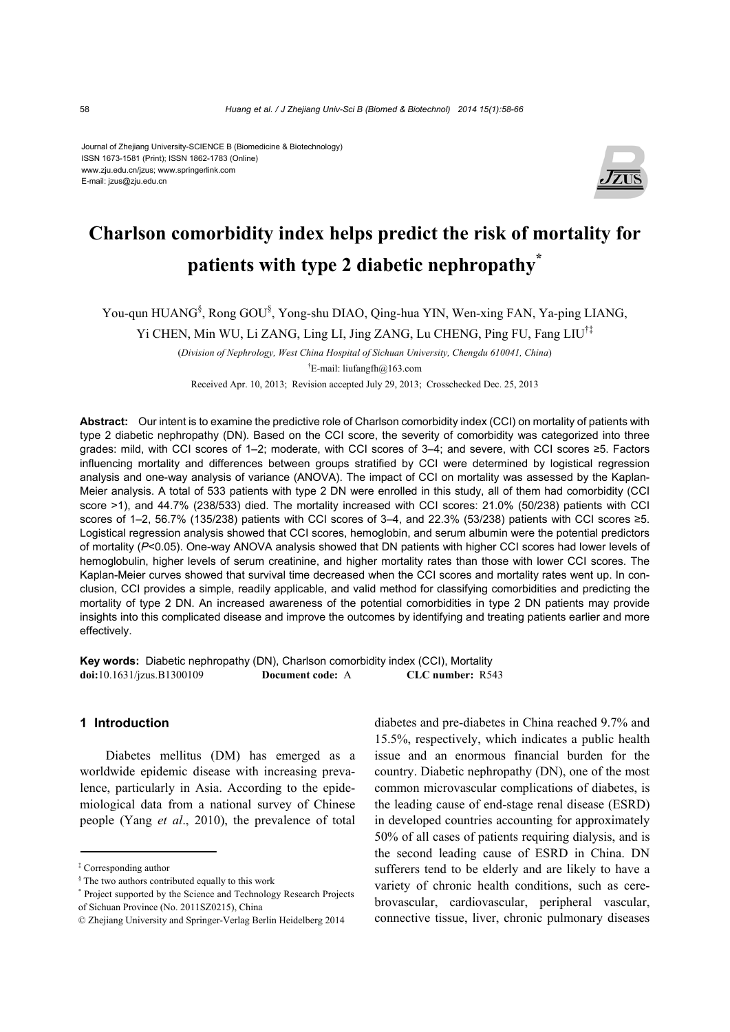Journal of Zhejiang University-SCIENCE B (Biomedicine & Biotechnology) ISSN 1673-1581 (Print); ISSN 1862-1783 (Online) www.zju.edu.cn/jzus; www.springerlink.com E-mail: jzus@zju.edu.cn



# **Charlson comorbidity index helps predict the risk of mortality for patients with type 2 diabetic nephropathy\***

You-qun HUANG<sup>§</sup>, Rong GOU<sup>§</sup>, Yong-shu DIAO, Qing-hua YIN, Wen-xing FAN, Ya-ping LIANG,

Yi CHEN, Min WU, Li ZANG, Ling LI, Jing ZANG, Lu CHENG, Ping FU, Fang LIU†‡

(*Division of Nephrology, West China Hospital of Sichuan University, Chengdu 610041, China*) † E-mail: liufangfh@163.com

Received Apr. 10, 2013; Revision accepted July 29, 2013; Crosschecked Dec. 25, 2013

**Abstract:** Our intent is to examine the predictive role of Charlson comorbidity index (CCI) on mortality of patients with type 2 diabetic nephropathy (DN). Based on the CCI score, the severity of comorbidity was categorized into three grades: mild, with CCI scores of 1–2; moderate, with CCI scores of 3–4; and severe, with CCI scores ≥5. Factors influencing mortality and differences between groups stratified by CCI were determined by logistical regression analysis and one-way analysis of variance (ANOVA). The impact of CCI on mortality was assessed by the Kaplan-Meier analysis. A total of 533 patients with type 2 DN were enrolled in this study, all of them had comorbidity (CCI score >1), and 44.7% (238/533) died. The mortality increased with CCI scores: 21.0% (50/238) patients with CCI scores of 1–2, 56.7% (135/238) patients with CCI scores of 3–4, and 22.3% (53/238) patients with CCI scores ≥5. Logistical regression analysis showed that CCI scores, hemoglobin, and serum albumin were the potential predictors of mortality (*P*<0.05). One-way ANOVA analysis showed that DN patients with higher CCI scores had lower levels of hemoglobulin, higher levels of serum creatinine, and higher mortality rates than those with lower CCI scores. The Kaplan-Meier curves showed that survival time decreased when the CCI scores and mortality rates went up. In conclusion, CCI provides a simple, readily applicable, and valid method for classifying comorbidities and predicting the mortality of type 2 DN. An increased awareness of the potential comorbidities in type 2 DN patients may provide insights into this complicated disease and improve the outcomes by identifying and treating patients earlier and more effectively.

**Key words:** Diabetic nephropathy (DN), Charlson comorbidity index (CCI), Mortality **doi:**10.1631/jzus.B1300109 **Document code:** A **CLC number:** R543

#### **1 Introduction**

Diabetes mellitus (DM) has emerged as a worldwide epidemic disease with increasing prevalence, particularly in Asia. According to the epidemiological data from a national survey of Chinese people (Yang *et al*., 2010), the prevalence of total diabetes and pre-diabetes in China reached 9.7% and 15.5%, respectively, which indicates a public health issue and an enormous financial burden for the country. Diabetic nephropathy (DN), one of the most common microvascular complications of diabetes, is the leading cause of end-stage renal disease (ESRD) in developed countries accounting for approximately 50% of all cases of patients requiring dialysis, and is the second leading cause of ESRD in China. DN sufferers tend to be elderly and are likely to have a variety of chronic health conditions, such as cerebrovascular, cardiovascular, peripheral vascular, connective tissue, liver, chronic pulmonary diseases

<sup>‡</sup> Corresponding author

 $§$  The two authors contributed equally to this work

<sup>\*</sup> Project supported by the Science and Technology Research Projects of Sichuan Province (No. 2011SZ0215), China

<sup>©</sup> Zhejiang University and Springer-Verlag Berlin Heidelberg 2014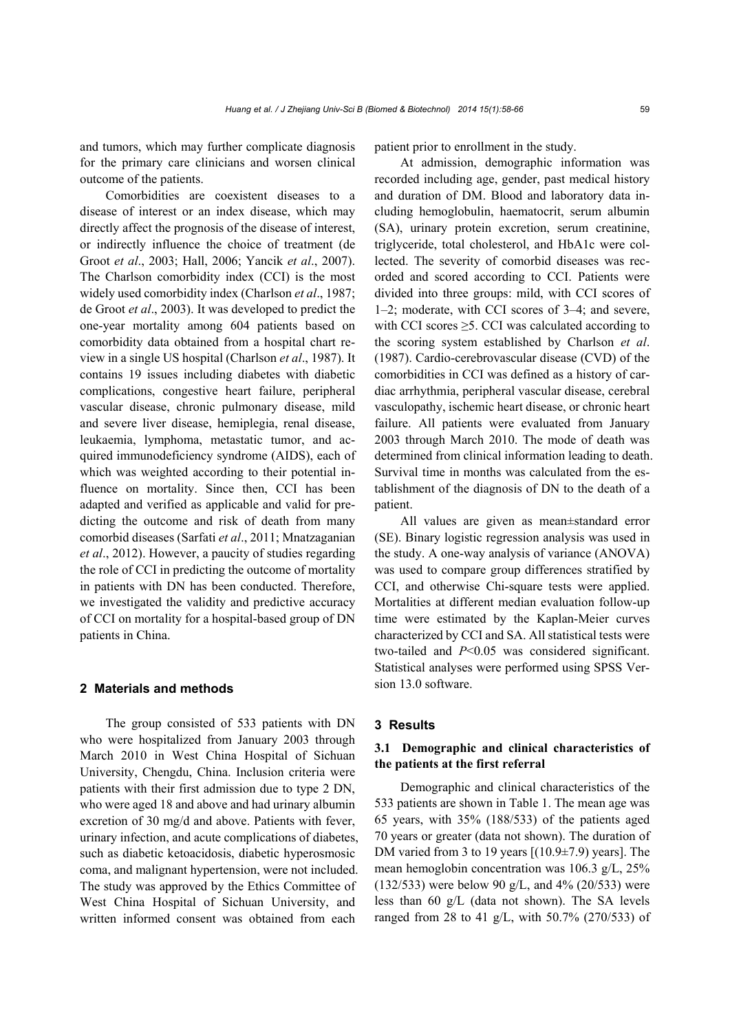and tumors, which may further complicate diagnosis for the primary care clinicians and worsen clinical outcome of the patients.

Comorbidities are coexistent diseases to a disease of interest or an index disease, which may directly affect the prognosis of the disease of interest, or indirectly influence the choice of treatment (de Groot *et al*., 2003; Hall, 2006; Yancik *et al*., 2007). The Charlson comorbidity index (CCI) is the most widely used comorbidity index (Charlson *et al*., 1987; de Groot *et al*., 2003). It was developed to predict the one-year mortality among 604 patients based on comorbidity data obtained from a hospital chart review in a single US hospital (Charlson *et al*., 1987). It contains 19 issues including diabetes with diabetic complications, congestive heart failure, peripheral vascular disease, chronic pulmonary disease, mild and severe liver disease, hemiplegia, renal disease, leukaemia, lymphoma, metastatic tumor, and acquired immunodeficiency syndrome (AIDS), each of which was weighted according to their potential influence on mortality. Since then, CCI has been adapted and verified as applicable and valid for predicting the outcome and risk of death from many comorbid diseases (Sarfati *et al*., 2011; Mnatzaganian *et al*., 2012). However, a paucity of studies regarding the role of CCI in predicting the outcome of mortality in patients with DN has been conducted. Therefore, we investigated the validity and predictive accuracy of CCI on mortality for a hospital-based group of DN patients in China.

### **2 Materials and methods**

The group consisted of 533 patients with DN who were hospitalized from January 2003 through March 2010 in West China Hospital of Sichuan University, Chengdu, China. Inclusion criteria were patients with their first admission due to type 2 DN, who were aged 18 and above and had urinary albumin excretion of 30 mg/d and above. Patients with fever, urinary infection, and acute complications of diabetes, such as diabetic ketoacidosis, diabetic hyperosmosic coma, and malignant hypertension, were not included. The study was approved by the Ethics Committee of West China Hospital of Sichuan University, and written informed consent was obtained from each

patient prior to enrollment in the study.

At admission, demographic information was recorded including age, gender, past medical history and duration of DM. Blood and laboratory data including hemoglobulin, haematocrit, serum albumin (SA), urinary protein excretion, serum creatinine, triglyceride, total cholesterol, and HbA1c were collected. The severity of comorbid diseases was recorded and scored according to CCI. Patients were divided into three groups: mild, with CCI scores of 1–2; moderate, with CCI scores of 3–4; and severe, with CCI scores  $\geq$ 5. CCI was calculated according to the scoring system established by Charlson *et al*. (1987). Cardio-cerebrovascular disease (CVD) of the comorbidities in CCI was defined as a history of cardiac arrhythmia, peripheral vascular disease, cerebral vasculopathy, ischemic heart disease, or chronic heart failure. All patients were evaluated from January 2003 through March 2010. The mode of death was determined from clinical information leading to death. Survival time in months was calculated from the establishment of the diagnosis of DN to the death of a patient.

All values are given as mean±standard error (SE). Binary logistic regression analysis was used in the study. A one-way analysis of variance (ANOVA) was used to compare group differences stratified by CCI, and otherwise Chi-square tests were applied. Mortalities at different median evaluation follow-up time were estimated by the Kaplan-Meier curves characterized by CCI and SA. All statistical tests were two-tailed and *P*<0.05 was considered significant. Statistical analyses were performed using SPSS Version 13.0 software.

#### **3 Results**

# **3.1 Demographic and clinical characteristics of the patients at the first referral**

Demographic and clinical characteristics of the 533 patients are shown in Table 1. The mean age was 65 years, with 35% (188/533) of the patients aged 70 years or greater (data not shown). The duration of DM varied from 3 to 19 years [(10.9±7.9) years]. The mean hemoglobin concentration was 106.3 g/L, 25% (132/533) were below 90 g/L, and 4% (20/533) were less than 60 g/L (data not shown). The SA levels ranged from 28 to 41 g/L, with 50.7% (270/533) of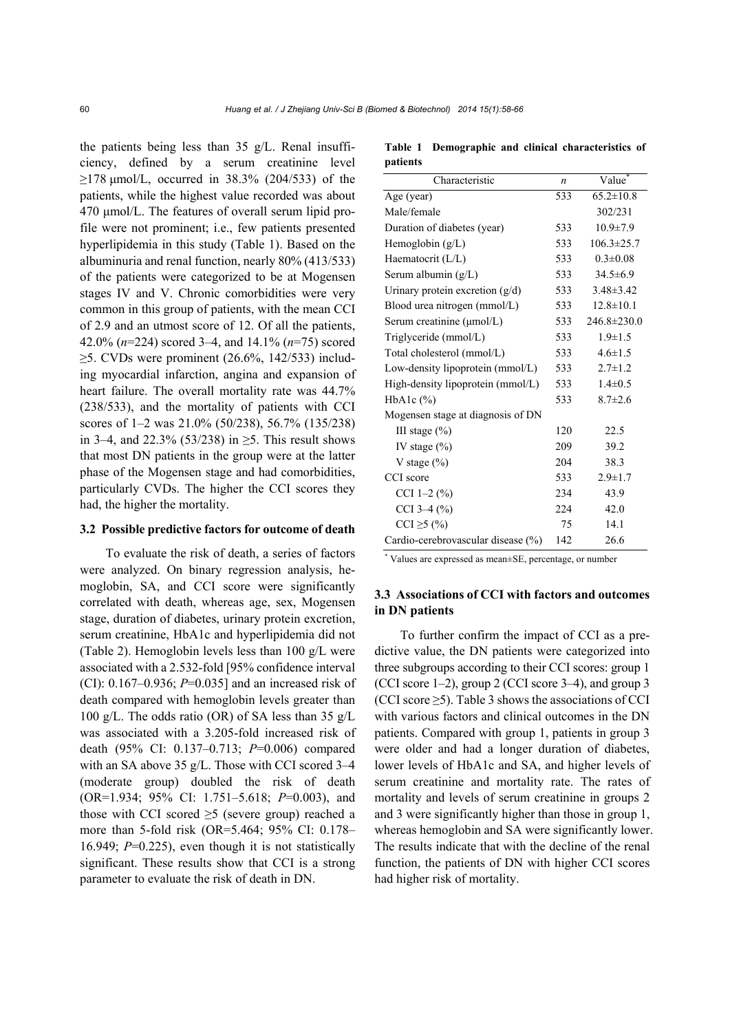the patients being less than 35 g/L. Renal insufficiency, defined by a serum creatinine level  $\geq$ 178 μmol/L, occurred in 38.3% (204/533) of the patients, while the highest value recorded was about 470 μmol/L. The features of overall serum lipid profile were not prominent; i.e., few patients presented hyperlipidemia in this study (Table 1). Based on the albuminuria and renal function, nearly 80% (413/533) of the patients were categorized to be at Mogensen stages IV and V. Chronic comorbidities were very common in this group of patients, with the mean CCI of 2.9 and an utmost score of 12. Of all the patients, 42.0% (*n*=224) scored 3–4, and 14.1% (*n*=75) scored  $\geq$ 5. CVDs were prominent (26.6%, 142/533) including myocardial infarction, angina and expansion of heart failure. The overall mortality rate was 44.7% (238/533), and the mortality of patients with CCI scores of 1–2 was 21.0% (50/238), 56.7% (135/238) in 3–4, and 22.3% (53/238) in ≥5. This result shows that most DN patients in the group were at the latter phase of the Mogensen stage and had comorbidities, particularly CVDs. The higher the CCI scores they had, the higher the mortality.

#### **3.2 Possible predictive factors for outcome of death**

To evaluate the risk of death, a series of factors were analyzed. On binary regression analysis, hemoglobin, SA, and CCI score were significantly correlated with death, whereas age, sex, Mogensen stage, duration of diabetes, urinary protein excretion, serum creatinine, HbA1c and hyperlipidemia did not (Table 2). Hemoglobin levels less than 100 g/L were associated with a 2.532-fold [95% confidence interval (CI): 0.167–0.936; *P*=0.035] and an increased risk of death compared with hemoglobin levels greater than 100 g/L. The odds ratio (OR) of SA less than 35 g/L was associated with a 3.205-fold increased risk of death (95% CI: 0.137–0.713; *P*=0.006) compared with an SA above 35 g/L. Those with CCI scored 3–4 (moderate group) doubled the risk of death (OR=1.934; 95% CI: 1.751–5.618; *P*=0.003), and those with CCI scored  $\geq$ 5 (severe group) reached a more than 5-fold risk (OR=5.464; 95% CI: 0.178– 16.949; *P*=0.225), even though it is not statistically significant. These results show that CCI is a strong parameter to evaluate the risk of death in DN.

**Table 1 Demographic and clinical characteristics of patients** 

| Characteristic                        | $\boldsymbol{n}$ | Value <sup>*</sup> |
|---------------------------------------|------------------|--------------------|
| Age (year)                            | 533              | $65.2 \pm 10.8$    |
| Male/female                           |                  | 302/231            |
| Duration of diabetes (year)           | 533              | $10.9 \pm 7.9$     |
| Hemoglobin $(g/L)$                    | 533              | $106.3 \pm 25.7$   |
| Haematocrit $(L/L)$                   | 533              | $0.3 \pm 0.08$     |
| Serum albumin (g/L)                   | 533              | $34.5 \pm 6.9$     |
| Urinary protein excretion $(g/d)$     | 533              | $3.48 \pm 3.42$    |
| Blood urea nitrogen (mmol/L)          | 533              | $12.8 \pm 10.1$    |
| Serum creatinine $(\mu \text{mol/L})$ | 533              | $246.8 \pm 230.0$  |
| Triglyceride (mmol/L)                 | 533              | $1.9 \pm 1.5$      |
| Total cholesterol (mmol/L)            | 533              | $4.6 \pm 1.5$      |
| Low-density lipoprotein (mmol/L)      | 533              | $2.7 \pm 1.2$      |
| High-density lipoprotein (mmol/L)     | 533              | $1.4 \pm 0.5$      |
| HbA <sub>1</sub> c $(\%)$             | 533              | $8.7 \pm 2.6$      |
| Mogensen stage at diagnosis of DN     |                  |                    |
| III stage $(\% )$                     | 120              | 22.5               |
| IV stage $(\% )$                      | 209              | 39.2               |
| V stage $(\%)$                        | 204              | 38.3               |
| CCI score                             | 533              | $2.9 \pm 1.7$      |
| CCI 1-2 $(\% )$                       | 234              | 43.9               |
| CCI 3-4 $(\%$                         | 224              | 42.0               |
| $CCI \ge 5$ (%)                       | 75               | 14.1               |
| Cardio-cerebrovascular disease (%)    | 142              | 26.6               |

\* Values are expressed as mean±SE, percentage, or number

## **3.3 Associations of CCI with factors and outcomes in DN patients**

To further confirm the impact of CCI as a predictive value, the DN patients were categorized into three subgroups according to their CCI scores: group 1 (CCI score 1–2), group 2 (CCI score 3–4), and group 3 (CCI score  $\geq$ 5). Table 3 shows the associations of CCI with various factors and clinical outcomes in the DN patients. Compared with group 1, patients in group 3 were older and had a longer duration of diabetes, lower levels of HbA1c and SA, and higher levels of serum creatinine and mortality rate. The rates of mortality and levels of serum creatinine in groups 2 and 3 were significantly higher than those in group 1, whereas hemoglobin and SA were significantly lower. The results indicate that with the decline of the renal function, the patients of DN with higher CCI scores had higher risk of mortality.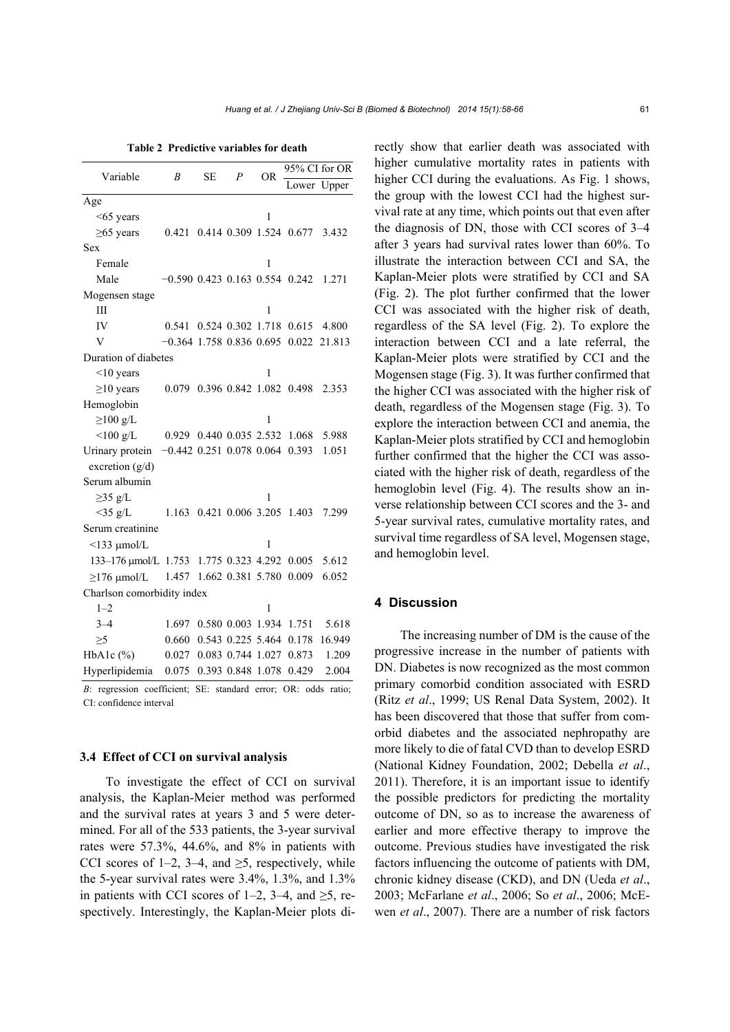| Table 2 Predictive variables for death |  |  |
|----------------------------------------|--|--|
|                                        |  |  |

| Variable                               | B                                | <b>SE</b> | $\boldsymbol{P}$  | OR. | 95% CI for OR           |        |  |  |
|----------------------------------------|----------------------------------|-----------|-------------------|-----|-------------------------|--------|--|--|
|                                        |                                  |           |                   |     | Lower                   | Upper  |  |  |
| Age                                    |                                  |           |                   |     |                         |        |  |  |
| $<65$ years                            |                                  |           |                   | 1   |                         |        |  |  |
| $\geq 65$ years                        | 0.421                            |           |                   |     | 0.414 0.309 1.524 0.677 | 3.432  |  |  |
| Sex                                    |                                  |           |                   |     |                         |        |  |  |
| Female                                 |                                  |           |                   | 1   |                         |        |  |  |
| Male                                   | $-0.590$ 0.423 0.163 0.554 0.242 |           |                   |     |                         | 1.271  |  |  |
| Mogensen stage                         |                                  |           |                   |     |                         |        |  |  |
| Ш                                      |                                  |           |                   | 1   |                         |        |  |  |
| IV                                     | 0.541                            |           |                   |     | 0.524 0.302 1.718 0.615 | 4.800  |  |  |
| V                                      | $-0.364$ 1.758 0.836 0.695 0.022 |           |                   |     |                         | 21.813 |  |  |
| Duration of diabetes                   |                                  |           |                   |     |                         |        |  |  |
| $\leq 10$ years                        |                                  |           |                   | 1   |                         |        |  |  |
| $\geq$ 10 years                        | 0.079                            |           |                   |     | 0.396 0.842 1.082 0.498 | 2.353  |  |  |
| Hemoglobin                             |                                  |           |                   |     |                         |        |  |  |
| $\geq$ 100 g/L                         |                                  |           |                   | 1   |                         |        |  |  |
| $<$ 100 g/L                            | 0.929                            |           | 0.440 0.035 2.532 |     | 1.068                   | 5.988  |  |  |
| Urinary protein                        | $-0.442$ 0.251 0.078 0.064       |           |                   |     | 0.393                   | 1.051  |  |  |
| excretion $(g/d)$                      |                                  |           |                   |     |                         |        |  |  |
| Serum albumin                          |                                  |           |                   |     |                         |        |  |  |
| $\geq$ 35 g/L                          |                                  |           |                   | 1   |                         |        |  |  |
| $<$ 35 g/L                             | 1.163                            |           | 0.421 0.006 3.205 |     | 1.403                   | 7.299  |  |  |
| Serum creatinine                       |                                  |           |                   |     |                         |        |  |  |
| $\leq$ 133 µmol/L                      |                                  |           |                   | 1   |                         |        |  |  |
| 133-176 umol/L 1.753 1.775 0.323 4.292 |                                  |           |                   |     | 0.005                   | 5.612  |  |  |
| $\geq$ 176 µmol/L                      | 1.457                            |           | 1.662 0.381 5.780 |     | 0.009                   | 6.052  |  |  |
| Charlson comorbidity index             |                                  |           |                   |     |                         |        |  |  |
| $1 - 2$                                |                                  |           |                   | 1   |                         |        |  |  |
| $3 - 4$                                | 1.697                            |           |                   |     | 0.580 0.003 1.934 1.751 | 5.618  |  |  |
| $\geq$ 5                               | 0.660                            |           | 0.543 0.225 5.464 |     | 0.178                   | 16.949 |  |  |
| HbA1c $(\%)$                           | 0.027                            |           | 0.083 0.744 1.027 |     | 0.873                   | 1.209  |  |  |
| Hyperlipidemia                         | 0.075                            |           | 0.393 0.848 1.078 |     | 0.429                   | 2.004  |  |  |

*B*: regression coefficient; SE: standard error; OR: odds ratio; CI: confidence interval

#### **3.4 Effect of CCI on survival analysis**

To investigate the effect of CCI on survival analysis, the Kaplan-Meier method was performed and the survival rates at years 3 and 5 were determined. For all of the 533 patients, the 3-year survival rates were 57.3%, 44.6%, and 8% in patients with CCI scores of 1–2, 3–4, and  $\geq$ 5, respectively, while the 5-year survival rates were 3.4%, 1.3%, and 1.3% in patients with CCI scores of 1–2, 3–4, and  $\geq$ 5, respectively. Interestingly, the Kaplan-Meier plots directly show that earlier death was associated with higher cumulative mortality rates in patients with higher CCI during the evaluations. As Fig. 1 shows, the group with the lowest CCI had the highest survival rate at any time, which points out that even after the diagnosis of DN, those with CCI scores of 3–4 after 3 years had survival rates lower than 60%. To illustrate the interaction between CCI and SA, the Kaplan-Meier plots were stratified by CCI and SA (Fig. 2). The plot further confirmed that the lower CCI was associated with the higher risk of death, regardless of the SA level (Fig. 2). To explore the interaction between CCI and a late referral, the Kaplan-Meier plots were stratified by CCI and the Mogensen stage (Fig. 3). It was further confirmed that the higher CCI was associated with the higher risk of death, regardless of the Mogensen stage (Fig. 3). To explore the interaction between CCI and anemia, the Kaplan-Meier plots stratified by CCI and hemoglobin further confirmed that the higher the CCI was associated with the higher risk of death, regardless of the hemoglobin level (Fig. 4). The results show an inverse relationship between CCI scores and the 3- and 5-year survival rates, cumulative mortality rates, and survival time regardless of SA level, Mogensen stage, and hemoglobin level.

#### **4 Discussion**

The increasing number of DM is the cause of the progressive increase in the number of patients with DN. Diabetes is now recognized as the most common primary comorbid condition associated with ESRD (Ritz *et al*., 1999; US Renal Data System, 2002). It has been discovered that those that suffer from comorbid diabetes and the associated nephropathy are more likely to die of fatal CVD than to develop ESRD (National Kidney Foundation, 2002; Debella *et al*., 2011). Therefore, it is an important issue to identify the possible predictors for predicting the mortality outcome of DN, so as to increase the awareness of earlier and more effective therapy to improve the outcome. Previous studies have investigated the risk factors influencing the outcome of patients with DM, chronic kidney disease (CKD), and DN (Ueda *et al*., 2003; McFarlane *et al*., 2006; So *et al*., 2006; McEwen *et al*., 2007). There are a number of risk factors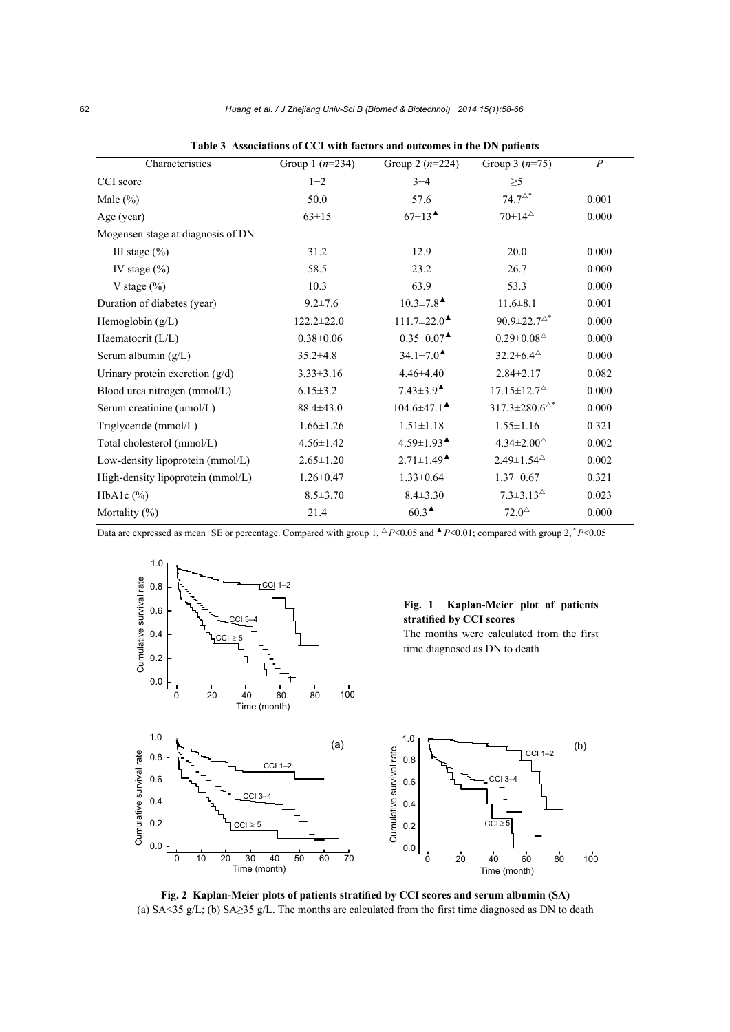| Characteristics                   | Group 1 $(n=234)$ | Group 2 $(n=224)$                                  | Group 3 $(n=75)$               | $\boldsymbol{P}$ |
|-----------------------------------|-------------------|----------------------------------------------------|--------------------------------|------------------|
| CCI score                         | $1 - 2$           | $3 - 4$                                            | $\geq 5$                       |                  |
| Male $(\% )$                      | 50.0              | 57.6                                               | $74.7^{\triangle*}$            | 0.001            |
| Age (year)                        | $63 \pm 15$       | $67\pm13$ <sup><math>\triangle</math></sup>        | $70\pm14^{\circ}$              | 0.000            |
| Mogensen stage at diagnosis of DN |                   |                                                    |                                |                  |
| III stage $(\% )$                 | 31.2              | 12.9                                               | 20.0                           | 0.000            |
| IV stage $(\% )$                  | 58.5              | 23.2                                               | 26.7                           | 0.000            |
| V stage $(\%)$                    | 10.3              | 63.9                                               | 53.3                           | 0.000            |
| Duration of diabetes (year)       | $9.2 \pm 7.6$     | $10.3 \pm 7.8$ <sup><math>\triangle</math></sup>   | $11.6 \pm 8.1$                 | 0.001            |
| Hemoglobin $(g/L)$                | $122.2 \pm 22.0$  | $111.7 \pm 22.0$ <sup><math>\triangle</math></sup> | $90.9 \pm 22.7^{\circ}$        | 0.000            |
| Haematocrit (L/L)                 | $0.38 \pm 0.06$   | $0.35 \pm 0.07$ <sup><math>\triangle</math></sup>  | $0.29 \pm 0.08^{\triangle}$    | 0.000            |
| Serum albumin $(g/L)$             | $35.2 \pm 4.8$    | $34.1 \pm 7.0$ <sup><math>\triangle</math></sup>   | $32.2 \pm 6.4^{\circ}$         | 0.000            |
| Urinary protein excretion $(g/d)$ | $3.33 \pm 3.16$   | $4.46 \pm 4.40$                                    | $2.84 \pm 2.17$                | 0.082            |
| Blood urea nitrogen (mmol/L)      | $6.15 \pm 3.2$    | $7.43 \pm 3.9$ <sup><math>\triangle</math></sup>   | $17.15 \pm 12.7^{\circ}$       | 0.000            |
| Serum creatinine (µmol/L)         | $88.4 \pm 43.0$   | $104.6 \pm 47.1$ <sup><math>\triangle</math></sup> | $317.3 \pm 280.6^{\triangle*}$ | 0.000            |
| Triglyceride (mmol/L)             | $1.66 \pm 1.26$   | $1.51 \pm 1.18$                                    | $1.55 \pm 1.16$                | 0.321            |
| Total cholesterol (mmol/L)        | $4.56 \pm 1.42$   | $4.59 \pm 1.93$ <sup><math>\triangle</math></sup>  | $4.34 \pm 2.00^{\circ}$        | 0.002            |
| Low-density lipoprotein (mmol/L)  | $2.65 \pm 1.20$   | $2.71 \pm 1.49$ <sup><math>\triangle</math></sup>  | $2.49 \pm 1.54^{\circ}$        | 0.002            |
| High-density lipoprotein (mmol/L) | $1.26 \pm 0.47$   | $1.33 \pm 0.64$                                    | $1.37 \pm 0.67$                | 0.321            |
| HbA1c $(\%)$                      | $8.5 \pm 3.70$    | $8.4 \pm 3.30$                                     | $7.3 \pm 3.13^{\circ}$         | 0.023            |
| Mortality $(\%)$                  | 21.4              | $60.3^{\triangle}$                                 | $72.0^{\triangle}$             | 0.000            |

|  | Table 3 Associations of CCI with factors and outcomes in the DN patients |  |  |  |  |  |  |  |  |  |
|--|--------------------------------------------------------------------------|--|--|--|--|--|--|--|--|--|
|--|--------------------------------------------------------------------------|--|--|--|--|--|--|--|--|--|

Data are expressed as mean±SE or percentage. Compared with group 1,  $\triangle P < 0.05$  and  $\triangle P < 0.01$ ; compared with group 2,  $\degree P < 0.05$ 



**Fig. 2 Kaplan-Meier plots of patients stratified by CCI scores and serum albumin (SA)**  (a) SA<35 g/L; (b) SA≥35 g/L. The months are calculated from the first time diagnosed as DN to death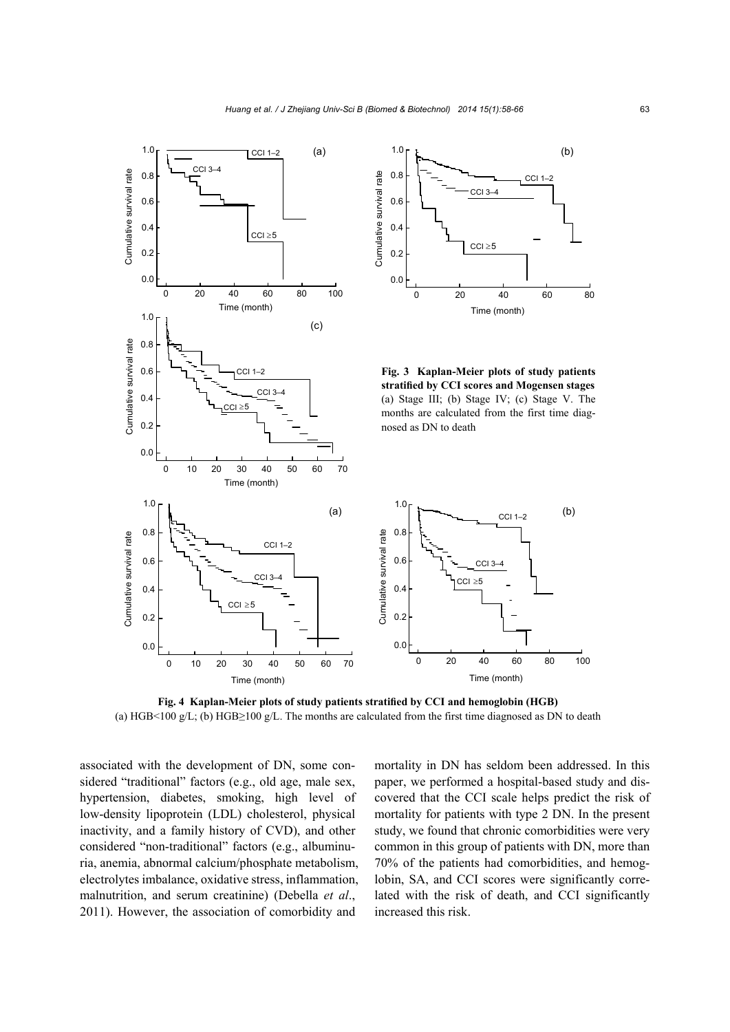



**Fig. 3 Kaplan-Meier plots of study patients stratified by CCI scores and Mogensen stages**  (a) Stage III; (b) Stage IV; (c) Stage V. The months are calculated from the first time diagnosed as DN to death



**Fig. 4 Kaplan-Meier plots of study patients stratified by CCI and hemoglobin (HGB)**  (a) HGB<100 g/L; (b) HGB≥100 g/L. The months are calculated from the first time diagnosed as DN to death

associated with the development of DN, some considered "traditional" factors (e.g., old age, male sex, hypertension, diabetes, smoking, high level of low-density lipoprotein (LDL) cholesterol, physical inactivity, and a family history of CVD), and other considered "non-traditional" factors (e.g., albuminuria, anemia, abnormal calcium/phosphate metabolism, electrolytes imbalance, oxidative stress, inflammation, malnutrition, and serum creatinine) (Debella *et al*., 2011). However, the association of comorbidity and

 $|CC| \geq 5$ 

0.2

0.0

mortality in DN has seldom been addressed. In this paper, we performed a hospital-based study and discovered that the CCI scale helps predict the risk of mortality for patients with type 2 DN. In the present study, we found that chronic comorbidities were very common in this group of patients with DN, more than 70% of the patients had comorbidities, and hemoglobin, SA, and CCI scores were significantly correlated with the risk of death, and CCI significantly increased this risk.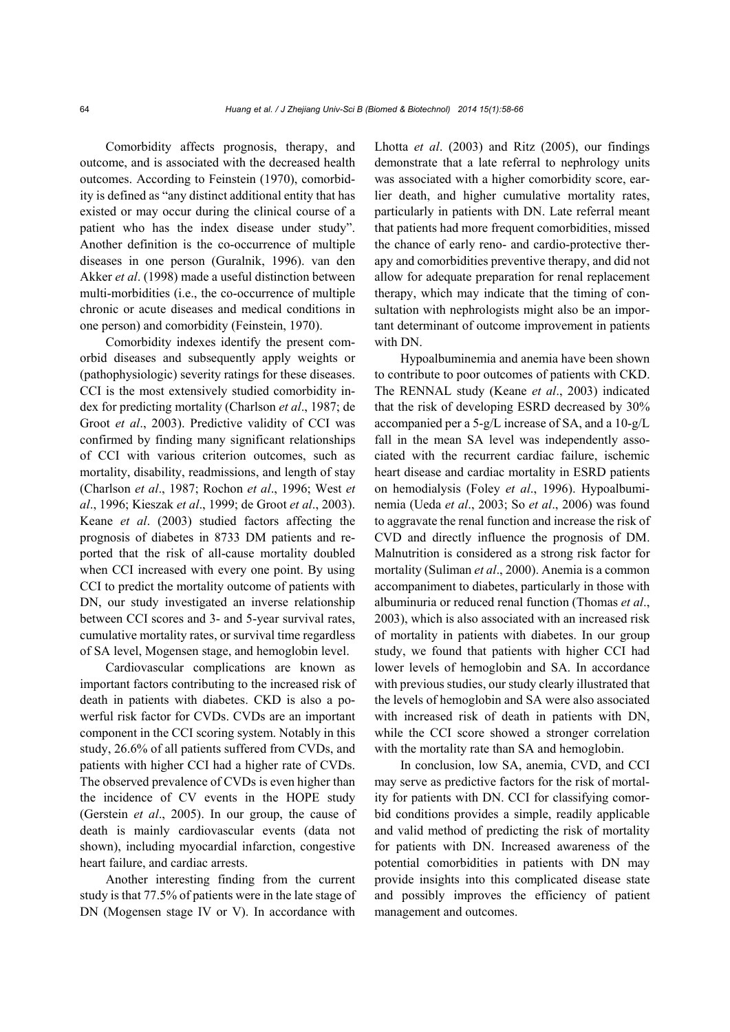Comorbidity affects prognosis, therapy, and outcome, and is associated with the decreased health outcomes. According to Feinstein (1970), comorbidity is defined as "any distinct additional entity that has existed or may occur during the clinical course of a patient who has the index disease under study". Another definition is the co-occurrence of multiple diseases in one person (Guralnik, 1996). van den Akker *et al*. (1998) made a useful distinction between multi-morbidities (i.e., the co-occurrence of multiple chronic or acute diseases and medical conditions in one person) and comorbidity (Feinstein, 1970).

Comorbidity indexes identify the present comorbid diseases and subsequently apply weights or (pathophysiologic) severity ratings for these diseases. CCI is the most extensively studied comorbidity index for predicting mortality (Charlson *et al*., 1987; de Groot *et al*., 2003). Predictive validity of CCI was confirmed by finding many significant relationships of CCI with various criterion outcomes, such as mortality, disability, readmissions, and length of stay (Charlson *et al*., 1987; Rochon *et al*., 1996; West *et al*., 1996; Kieszak *et al*., 1999; de Groot *et al*., 2003). Keane *et al*. (2003) studied factors affecting the prognosis of diabetes in 8733 DM patients and reported that the risk of all-cause mortality doubled when CCI increased with every one point. By using CCI to predict the mortality outcome of patients with DN, our study investigated an inverse relationship between CCI scores and 3- and 5-year survival rates, cumulative mortality rates, or survival time regardless of SA level, Mogensen stage, and hemoglobin level.

Cardiovascular complications are known as important factors contributing to the increased risk of death in patients with diabetes. CKD is also a powerful risk factor for CVDs. CVDs are an important component in the CCI scoring system. Notably in this study, 26.6% of all patients suffered from CVDs, and patients with higher CCI had a higher rate of CVDs. The observed prevalence of CVDs is even higher than the incidence of CV events in the HOPE study (Gerstein *et al*., 2005). In our group, the cause of death is mainly cardiovascular events (data not shown), including myocardial infarction, congestive heart failure, and cardiac arrests.

Another interesting finding from the current study is that 77.5% of patients were in the late stage of DN (Mogensen stage IV or V). In accordance with

Lhotta *et al*. (2003) and Ritz (2005), our findings demonstrate that a late referral to nephrology units was associated with a higher comorbidity score, earlier death, and higher cumulative mortality rates, particularly in patients with DN. Late referral meant that patients had more frequent comorbidities, missed the chance of early reno- and cardio-protective therapy and comorbidities preventive therapy, and did not allow for adequate preparation for renal replacement therapy, which may indicate that the timing of consultation with nephrologists might also be an important determinant of outcome improvement in patients with DN.

Hypoalbuminemia and anemia have been shown to contribute to poor outcomes of patients with CKD. The RENNAL study (Keane *et al*., 2003) indicated that the risk of developing ESRD decreased by 30% accompanied per a 5-g/L increase of SA, and a 10-g/L fall in the mean SA level was independently associated with the recurrent cardiac failure, ischemic heart disease and cardiac mortality in ESRD patients on hemodialysis (Foley *et al*., 1996). Hypoalbuminemia (Ueda *et al*., 2003; So *et al*., 2006) was found to aggravate the renal function and increase the risk of CVD and directly influence the prognosis of DM. Malnutrition is considered as a strong risk factor for mortality (Suliman *et al*., 2000). Anemia is a common accompaniment to diabetes, particularly in those with albuminuria or reduced renal function (Thomas *et al*., 2003), which is also associated with an increased risk of mortality in patients with diabetes. In our group study, we found that patients with higher CCI had lower levels of hemoglobin and SA. In accordance with previous studies, our study clearly illustrated that the levels of hemoglobin and SA were also associated with increased risk of death in patients with DN, while the CCI score showed a stronger correlation with the mortality rate than SA and hemoglobin.

In conclusion, low SA, anemia, CVD, and CCI may serve as predictive factors for the risk of mortality for patients with DN. CCI for classifying comorbid conditions provides a simple, readily applicable and valid method of predicting the risk of mortality for patients with DN. Increased awareness of the potential comorbidities in patients with DN may provide insights into this complicated disease state and possibly improves the efficiency of patient management and outcomes.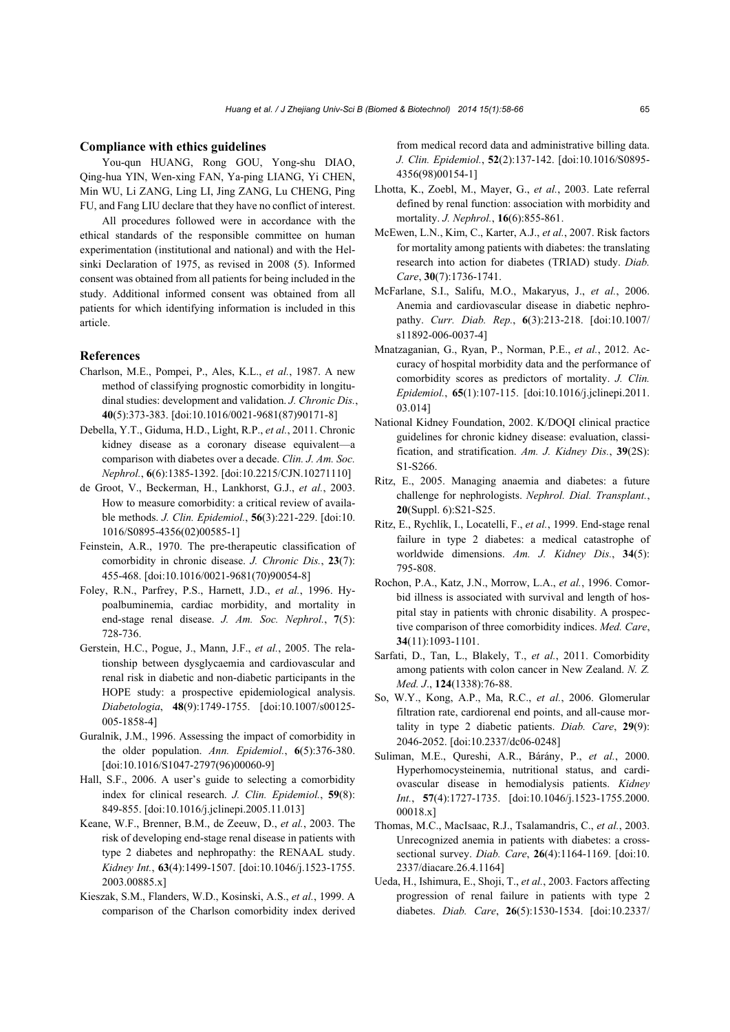#### **Compliance with ethics guidelines**

You-qun HUANG, Rong GOU, Yong-shu DIAO, Qing-hua YIN, Wen-xing FAN, Ya-ping LIANG, Yi CHEN, Min WU, Li ZANG, Ling LI, Jing ZANG, Lu CHENG, Ping FU, and Fang LIU declare that they have no conflict of interest.

All procedures followed were in accordance with the ethical standards of the responsible committee on human experimentation (institutional and national) and with the Helsinki Declaration of 1975, as revised in 2008 (5). Informed consent was obtained from all patients for being included in the study. Additional informed consent was obtained from all patients for which identifying information is included in this article.

#### **References**

- Charlson, M.E., Pompei, P., Ales, K.L., *et al.*, 1987. A new method of classifying prognostic comorbidity in longitudinal studies: development and validation. *J. Chronic Dis.*, **40**(5):373-383. [doi:10.1016/0021-9681(87)90171-8]
- Debella, Y.T., Giduma, H.D., Light, R.P., *et al.*, 2011. Chronic kidney disease as a coronary disease equivalent—a comparison with diabetes over a decade. *Clin. J. Am. Soc. Nephrol.*, **6**(6):1385-1392. [doi:10.2215/CJN.10271110]
- de Groot, V., Beckerman, H., Lankhorst, G.J., *et al.*, 2003. How to measure comorbidity: a critical review of available methods. *J. Clin. Epidemiol.*, **56**(3):221-229. [doi:10. 1016/S0895-4356(02)00585-1]
- Feinstein, A.R., 1970. The pre-therapeutic classification of comorbidity in chronic disease. *J. Chronic Dis.*, **23**(7): 455-468. [doi:10.1016/0021-9681(70)90054-8]
- Foley, R.N., Parfrey, P.S., Harnett, J.D., *et al.*, 1996. Hypoalbuminemia, cardiac morbidity, and mortality in end-stage renal disease. *J. Am. Soc. Nephrol.*, **7**(5): 728-736.
- Gerstein, H.C., Pogue, J., Mann, J.F., *et al.*, 2005. The relationship between dysglycaemia and cardiovascular and renal risk in diabetic and non-diabetic participants in the HOPE study: a prospective epidemiological analysis. *Diabetologia*, **48**(9):1749-1755. [doi:10.1007/s00125- 005-1858-4]
- Guralnik, J.M., 1996. Assessing the impact of comorbidity in the older population. *Ann. Epidemiol.*, **6**(5):376-380. [doi:10.1016/S1047-2797(96)00060-9]
- Hall, S.F., 2006. A user's guide to selecting a comorbidity index for clinical research. *J. Clin. Epidemiol.*, **59**(8): 849-855. [doi:10.1016/j.jclinepi.2005.11.013]
- Keane, W.F., Brenner, B.M., de Zeeuw, D., *et al.*, 2003. The risk of developing end-stage renal disease in patients with type 2 diabetes and nephropathy: the RENAAL study. *Kidney Int.*, **63**(4):1499-1507. [doi:10.1046/j.1523-1755. 2003.00885.x]
- Kieszak, S.M., Flanders, W.D., Kosinski, A.S., *et al.*, 1999. A comparison of the Charlson comorbidity index derived

from medical record data and administrative billing data. *J. Clin. Epidemiol.*, **52**(2):137-142. [doi:10.1016/S0895- 4356(98)00154-1]

- Lhotta, K., Zoebl, M., Mayer, G., *et al.*, 2003. Late referral defined by renal function: association with morbidity and mortality. *J. Nephrol.*, **16**(6):855-861.
- McEwen, L.N., Kim, C., Karter, A.J., *et al.*, 2007. Risk factors for mortality among patients with diabetes: the translating research into action for diabetes (TRIAD) study. *Diab. Care*, **30**(7):1736-1741.
- McFarlane, S.I., Salifu, M.O., Makaryus, J., *et al.*, 2006. Anemia and cardiovascular disease in diabetic nephropathy. *Curr. Diab. Rep.*, **6**(3):213-218. [doi:10.1007/ s11892-006-0037-4]
- Mnatzaganian, G., Ryan, P., Norman, P.E., *et al.*, 2012. Accuracy of hospital morbidity data and the performance of comorbidity scores as predictors of mortality. *J. Clin. Epidemiol.*, **65**(1):107-115. [doi:10.1016/j.jclinepi.2011. 03.014]
- National Kidney Foundation, 2002. K/DOQI clinical practice guidelines for chronic kidney disease: evaluation, classification, and stratification. *Am. J. Kidney Dis.*, **39**(2S): S1-S266.
- Ritz, E., 2005. Managing anaemia and diabetes: a future challenge for nephrologists. *Nephrol. Dial. Transplant.*, **20**(Suppl. 6):S21-S25.
- Ritz, E., Rychlík, I., Locatelli, F., *et al.*, 1999. End-stage renal failure in type 2 diabetes: a medical catastrophe of worldwide dimensions. *Am. J. Kidney Dis.*, **34**(5): 795-808.
- Rochon, P.A., Katz, J.N., Morrow, L.A., *et al.*, 1996. Comorbid illness is associated with survival and length of hospital stay in patients with chronic disability. A prospective comparison of three comorbidity indices. *Med. Care*, **34**(11):1093-1101.
- Sarfati, D., Tan, L., Blakely, T., *et al.*, 2011. Comorbidity among patients with colon cancer in New Zealand. *N. Z. Med. J*., **124**(1338):76-88.
- So, W.Y., Kong, A.P., Ma, R.C., *et al.*, 2006. Glomerular filtration rate, cardiorenal end points, and all-cause mortality in type 2 diabetic patients. *Diab. Care*, **29**(9): 2046-2052. [doi:10.2337/dc06-0248]
- Suliman, M.E., Qureshi, A.R., Bárány, P., *et al.*, 2000. Hyperhomocysteinemia, nutritional status, and cardiovascular disease in hemodialysis patients. *Kidney Int.*, **57**(4):1727-1735. [doi:10.1046/j.1523-1755.2000. 00018.x]
- Thomas, M.C., MacIsaac, R.J., Tsalamandris, C., *et al.*, 2003. Unrecognized anemia in patients with diabetes: a crosssectional survey. *Diab. Care*, **26**(4):1164-1169. [doi:10. 2337/diacare.26.4.1164]
- Ueda, H., Ishimura, E., Shoji, T., *et al.*, 2003. Factors affecting progression of renal failure in patients with type 2 diabetes. *Diab. Care*, **26**(5):1530-1534. [doi:10.2337/